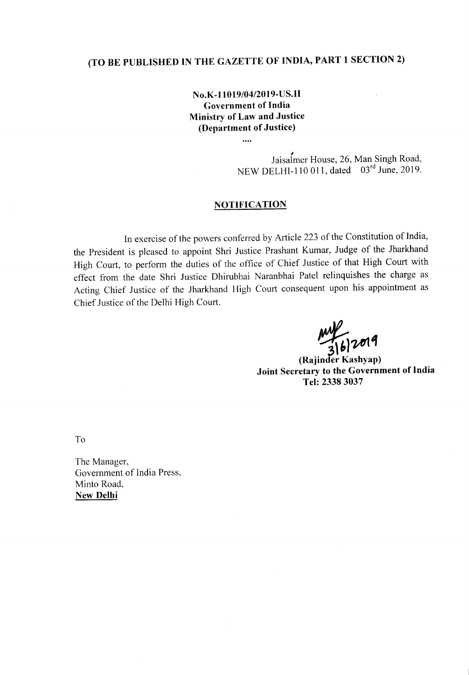# **(TO BE PUBLISHED IN THE GAZETTE OF INDIA, PART 1 SECTION 2)**

### **No.K-11019/04/2019-US.I1 Government of India Ministry of Law and Justice (Department of Justice)**

....

~ Jaisalmer House, 26, Man Singh Road, NEW DELHI-110 011, dated 03rd June, 2019.

#### **NOTIFICA TION**

In exercise of the powers conferred by Article 223 of the Constitution of India, the President is pleased to appoint Shri Justice Prashant Kumar, Judge of the Jharkhand High Court, to perform the duties of the office of Chief Justice of that High Court with effect from the date Shri Justice Dhirubhai Naranbhai Patel relinquishes the charge as Acting Chief Justice of the Jharkhand High Court consequent upon his appointment as Chief Justice of the Delhi High Court.

 $\frac{1}{36}$ 

(Rajinder **Kashyap) Joint Secretary to the Government of India Tel: 23383037**

To

The Manager, Government of India Press, Minto Road, **New Delhi**